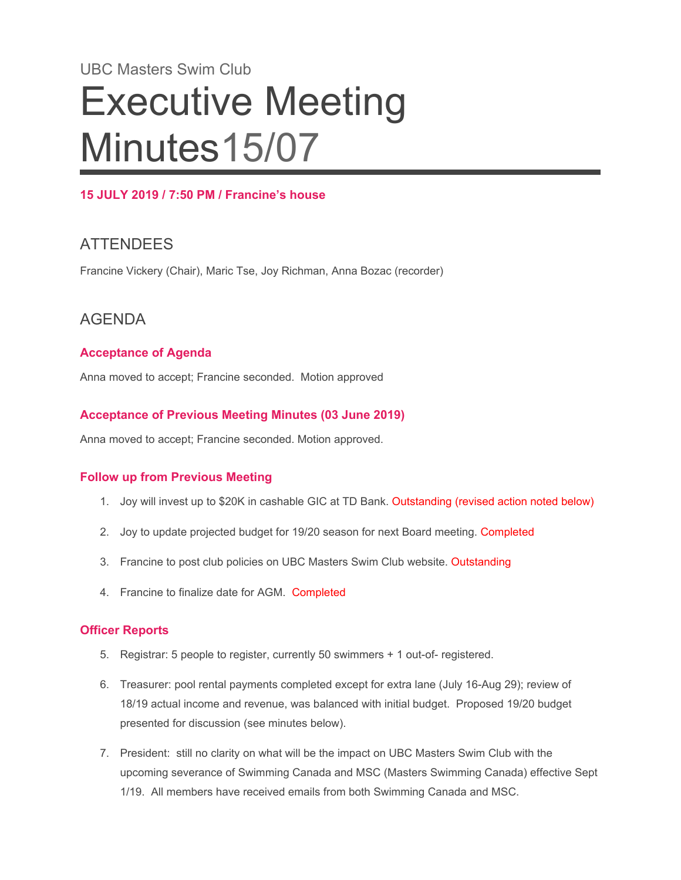# UBC Masters Swim Club Executive Meeting Minutes15/07

#### **15 JULY 2019 / 7:50 PM / Francine's house**

## **ATTENDEES**

Francine Vickery (Chair), Maric Tse, Joy Richman, Anna Bozac (recorder)

## AGENDA

#### **Acceptance of Agenda**

Anna moved to accept; Francine seconded. Motion approved

#### **Acceptance of Previous Meeting Minutes (03 June 2019)**

Anna moved to accept; Francine seconded. Motion approved.

#### **Follow up from Previous Meeting**

- 1. Joy will invest up to \$20K in cashable GIC at TD Bank. Outstanding (revised action noted below)
- 2. Joy to update projected budget for 19/20 season for next Board meeting. Completed
- 3. Francine to post club policies on UBC Masters Swim Club website. Outstanding
- 4. Francine to finalize date for AGM. Completed

#### **Officer Reports**

- 5. Registrar: 5 people to register, currently 50 swimmers + 1 out-of- registered.
- 6. Treasurer: pool rental payments completed except for extra lane (July 16-Aug 29); review of 18/19 actual income and revenue, was balanced with initial budget. Proposed 19/20 budget presented for discussion (see minutes below).
- 7. President: still no clarity on what will be the impact on UBC Masters Swim Club with the upcoming severance of Swimming Canada and MSC (Masters Swimming Canada) effective Sept 1/19. All members have received emails from both Swimming Canada and MSC.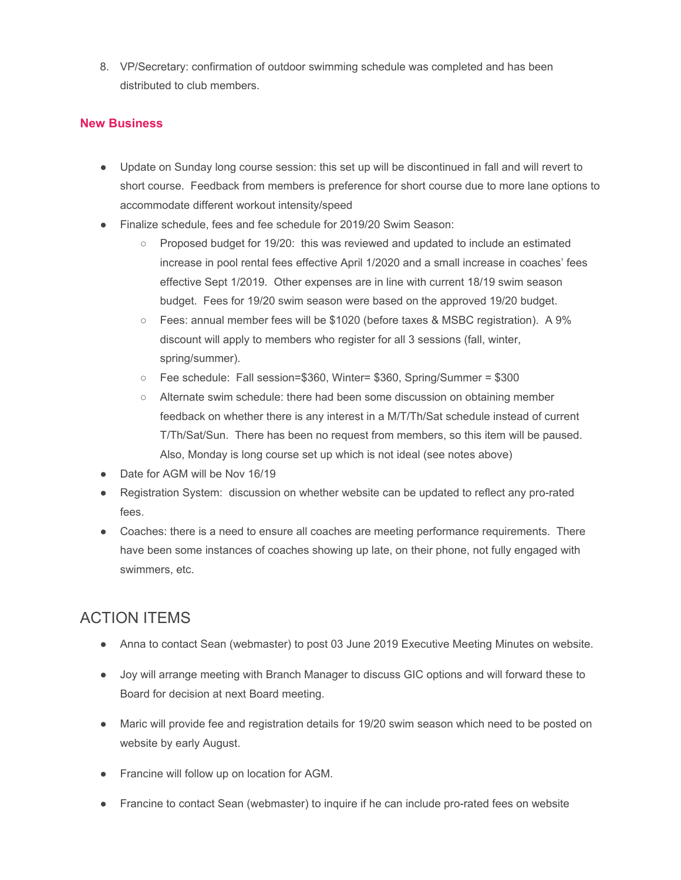8. VP/Secretary: confirmation of outdoor swimming schedule was completed and has been distributed to club members.

#### **New Business**

- Update on Sunday long course session: this set up will be discontinued in fall and will revert to short course. Feedback from members is preference for short course due to more lane options to accommodate different workout intensity/speed
- Finalize schedule, fees and fee schedule for 2019/20 Swim Season:
	- Proposed budget for 19/20: this was reviewed and updated to include an estimated increase in pool rental fees effective April 1/2020 and a small increase in coaches' fees effective Sept 1/2019. Other expenses are in line with current 18/19 swim season budget. Fees for 19/20 swim season were based on the approved 19/20 budget.
	- Fees: annual member fees will be \$1020 (before taxes & MSBC registration). A 9% discount will apply to members who register for all 3 sessions (fall, winter, spring/summer).
	- Fee schedule: Fall session=\$360, Winter= \$360, Spring/Summer = \$300
	- Alternate swim schedule: there had been some discussion on obtaining member feedback on whether there is any interest in a M/T/Th/Sat schedule instead of current T/Th/Sat/Sun. There has been no request from members, so this item will be paused. Also, Monday is long course set up which is not ideal (see notes above)
- Date for AGM will be Nov 16/19
- Registration System: discussion on whether website can be updated to reflect any pro-rated fees.
- Coaches: there is a need to ensure all coaches are meeting performance requirements. There have been some instances of coaches showing up late, on their phone, not fully engaged with swimmers, etc.

## ACTION ITEMS

- Anna to contact Sean (webmaster) to post 03 June 2019 Executive Meeting Minutes on website.
- Joy will arrange meeting with Branch Manager to discuss GIC options and will forward these to Board for decision at next Board meeting.
- Maric will provide fee and registration details for 19/20 swim season which need to be posted on website by early August.
- Francine will follow up on location for AGM.
- Francine to contact Sean (webmaster) to inquire if he can include pro-rated fees on website